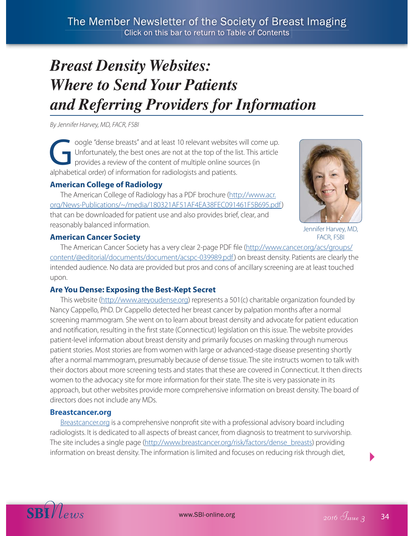# *Breast Density Websites: Where to Send Your Patients and Referring Providers for Information*

By Jennifer Harvey, MD, FACR, FSBI

Soogle "dense breasts" and at least 10 relevant websites will come up.<br>Unfortunately, the best ones are not at the top of the list. This article<br>provides a review of the content of multiple online sources (in Unfortunately, the best ones are not at the top of the list. This article provides a review of the content of multiple online sources (in alphabetical order) of information for radiologists and patients.

## **American College of Radiology**

The American College of Radiology has a PDF brochure (http://www.acr. org/News-Publications/~/media/180321AF51AF4EA38FEC091461F5B695.pdf) that can be downloaded for patient use and also provides brief, clear, and reasonably balanced information.



Jennifer Harvey, MD, FACR, FSBI

## **American Cancer Society**

The American Cancer Society has a very clear 2-page PDF file (http://www.cancer.org/acs/groups/ content/@editorial/documents/document/acspc-039989.pdf) on breast density. Patients are clearly the intended audience. No data are provided but pros and cons of ancillary screening are at least touched upon.

## **Are You Dense: Exposing the Best-Kept Secret**

This website (http://www.areyoudense.org) represents a 501(c) charitable organization founded by Nancy Cappello, PhD. Dr Cappello detected her breast cancer by palpation months after a normal screening mammogram. She went on to learn about breast density and advocate for patient education and notification, resulting in the first state (Connecticut) legislation on this issue. The website provides patient-level information about breast density and primarily focuses on masking through numerous patient stories. Most stories are from women with large or advanced-stage disease presenting shortly after a normal mammogram, presumably because of dense tissue. The site instructs women to talk with their doctors about more screening tests and states that these are covered in Connecticut. It then directs women to the advocacy site for more information for their state. The site is very passionate in its approach, but other websites provide more comprehensive information on breast density. The board of directors does not include any MDs.

#### **Breastcancer.org**

Breastcancer.org is a comprehensive nonprofit site with a professional advisory board including radiologists. It is dedicated to all aspects of breast cancer, from diagnosis to treatment to survivorship. The site includes a single page (http://www.breastcancer.org/risk/factors/dense\_breasts) providing information on breast density. The information is limited and focuses on reducing risk through diet,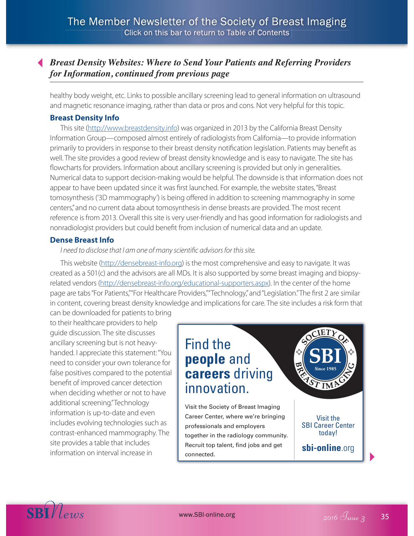# *Breast Density Websites: Where to Send Your Patients and Referring Providers for Information, continued from previous page*

healthy body weight, etc. Links to possible ancillary screening lead to general information on ultrasound and magnetic resonance imaging, rather than data or pros and cons. Not very helpful for this topic.

#### **Breast Density Info**

This site (http://www.breastdensity.info) was organized in 2013 by the California Breast Density Information Group—composed almost entirely of radiologists from California—to provide information primarily to providers in response to their breast density notification legislation. Patients may benefit as well. The site provides a good review of breast density knowledge and is easy to navigate. The site has flowcharts for providers. Information about ancillary screening is provided but only in generalities. Numerical data to support decision-making would be helpful. The downside is that information does not appear to have been updated since it was first launched. For example, the website states, "Breast tomosynthesis ('3D mammography') is being offered in addition to screening mammography in some centers," and no current data about tomosynthesis in dense breasts are provided. The most recent reference is from 2013. Overall this site is very user-friendly and has good information for radiologists and nonradiologist providers but could benefit from inclusion of numerical data and an update.

#### **Dense Breast Info**

#### I need to disclose that I am one of many scientific advisors for this site.

This website (http://densebreast-info.org) is the most comprehensive and easy to navigate. It was created as a 501(c) and the advisors are all MDs. It is also supported by some breast imaging and biopsyrelated vendors (http://densebreast-info.org/educational-supporters.aspx). In the center of the home page are tabs "For Patients," "For Healthcare Providers," "Technology," and "Legislation." The first 2 are similar in content, covering breast density knowledge and implications for care. The site includes a risk form that can be downloaded for patients to bring

to their healthcare providers to help guide discussion. The site discusses ancillary screening but is not heavyhanded. I appreciate this statement: "You need to consider your own tolerance for false positives compared to the potential benefit of improved cancer detection when deciding whether or not to have additional screening." Technology information is up-to-date and even includes evolving technologies such as contrast-enhanced mammography. The site provides a table that includes information on interval increase in